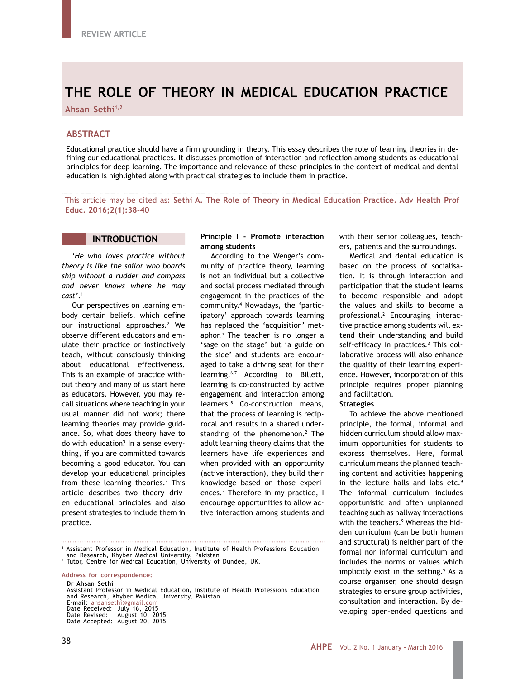# **THE ROLE OF THEORY IN MEDICAL EDUCATION PRACTICE**

Ahsan Sethi<sup>1,2</sup>

# **ABSTRACT**

Educational practice should have a firm grounding in theory. This essay describes the role of learning theories in defining our educational practices. It discusses promotion of interaction and reflection among students as educational principles for deep learning. The importance and relevance of these principles in the context of medical and dental education is highlighted along with practical strategies to include them in practice.

This article may be cited as: **Sethi A. The Role of Theory in Medical Education Practice. Adv Health Prof Educ. 2016;2(1):38-40**

## **INTRODUCTION**

*'He who loves practice without theory is like the sailor who boards ship without a rudder and compass and never knows where he may cast'*.1

Our perspectives on learning embody certain beliefs, which define our instructional approaches.<sup>2</sup> We observe different educators and emulate their practice or instinctively teach, without consciously thinking about educational effectiveness. This is an example of practice without theory and many of us start here as educators. However, you may recall situations where teaching in your usual manner did not work; there learning theories may provide guidance. So, what does theory have to do with education? In a sense everything, if you are committed towards becoming a good educator. You can develop your educational principles from these learning theories.<sup>3</sup> This article describes two theory driven educational principles and also present strategies to include them in practice.

### **Principle I - Promote interaction among students**

According to the Wenger's community of practice theory, learning is not an individual but a collective and social process mediated through engagement in the practices of the community.4 Nowadays, the 'participatory' approach towards learning has replaced the 'acquisition' metaphor.5 The teacher is no longer a 'sage on the stage' but 'a guide on the side' and students are encouraged to take a driving seat for their learning.6,7 According to Billett, learning is co-constructed by active engagement and interaction among learners.8 Co-construction means, that the process of learning is reciprocal and results in a shared understanding of the phenomenon.<sup>2</sup> The adult learning theory claims that the learners have life experiences and when provided with an opportunity (active interaction), they build their knowledge based on those experiences.3 Therefore in my practice, I encourage opportunities to allow active interaction among students and

with their senior colleagues, teachers, patients and the surroundings.

Medical and dental education is based on the process of socialisation. It is through interaction and participation that the student learns to become responsible and adopt the values and skills to become a professional.2 Encouraging interactive practice among students will extend their understanding and build self-efficacy in practices.3 This collaborative process will also enhance the quality of their learning experience. However, incorporation of this principle requires proper planning and facilitation.

#### **Strategies**

To achieve the above mentioned principle, the formal, informal and hidden curriculum should allow maximum opportunities for students to express themselves. Here, formal curriculum means the planned teaching content and activities happening in the lecture halls and labs etc.<sup>9</sup> The informal curriculum includes opportunistic and often unplanned teaching such as hallway interactions with the teachers.9 Whereas the hidden curriculum (can be both human and structural) is neither part of the formal nor informal curriculum and includes the norms or values which implicitly exist in the setting.<sup>9</sup> As a course organiser, one should design strategies to ensure group activities, consultation and interaction. By developing open-ended questions and

**Address for correspondence:**

Assistant Professor in Medical Education, Institute of Health Professions Education and Research, Khyber Medical University, Pakistan.

E-mail: ahsansethi@gmail.com Date Received: July 16, 2015 Date Revised: August 10, 2015 Date Accepted: August 20, 2015

<sup>&</sup>lt;sup>1</sup> Assistant Professor in Medical Education, Institute of Health Professions Education<br>and Research, Khyber Medical University, Pakistan

and Research, Khyber Medical University, Pakistan <sup>2</sup> Tutor, Centre for Medical Education, University of Dundee, UK.

**Dr Ahsan Sethi**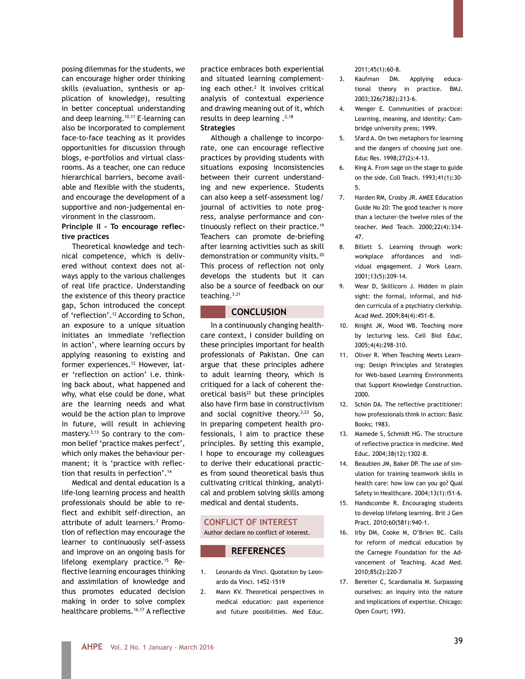posing dilemmas for the students, we can encourage higher order thinking skills (evaluation, synthesis or application of knowledge), resulting in better conceptual understanding and deep learning.<sup>10,11</sup> E-learning can also be incorporated to complement face-to-face teaching as it provides opportunities for discussion through blogs, e-portfolios and virtual classrooms. As a teacher, one can reduce hierarchical barriers, become available and flexible with the students, and encourage the development of a supportive and non-judgemental environment in the classroom.

## **Principle II - To encourage reflective practices**

Theoretical knowledge and technical competence, which is delivered without context does not always apply to the various challenges of real life practice. Understanding the existence of this theory practice gap, Schon introduced the concept of 'reflection'.12 According to Schon, an exposure to a unique situation initiates an immediate 'reflection in action', where learning occurs by applying reasoning to existing and former experiences.<sup>12</sup> However, later 'reflection on action' i.e. thinking back about, what happened and why, what else could be done, what are the learning needs and what would be the action plan to improve in future, will result in achieving mastery.3,13 So contrary to the common belief 'practice makes perfect', which only makes the behaviour permanent; it is 'practice with reflection that results in perfection'.14

Medical and dental education is a life-long learning process and health professionals should be able to reflect and exhibit self-direction, an attribute of adult learners.3 Promotion of reflection may encourage the learner to continuously self-assess and improve on an ongoing basis for lifelong exemplary practice.<sup>15</sup> Reflective learning encourages thinking and assimilation of knowledge and thus promotes educated decision making in order to solve complex healthcare problems.16,17 A reflective

practice embraces both experiential and situated learning complementing each other. $2$  It involves critical analysis of contextual experience and drawing meaning out of it, which results in deep learning .<sup>2,18</sup> **Strategies**

Although a challenge to incorporate, one can encourage reflective practices by providing students with situations exposing inconsistencies between their current understanding and new experience. Students can also keep a self-assessment log/ journal of activities to note progress, analyse performance and continuously reflect on their practice.19 Teachers can promote de-briefing after learning activities such as skill demonstration or community visits.<sup>20</sup> This process of reflection not only develops the students but it can also be a source of feedback on our teaching.3,21

# **CONCLUSION**

In a continuously changing healthcare context, I consider building on these principles important for health professionals of Pakistan. One can argue that these principles adhere to adult learning theory, which is critiqued for a lack of coherent theoretical basis<sup>22</sup> but these principles also have firm base in constructivism and social cognitive theory. $3,23$  So, in preparing competent health professionals, I aim to practice these principles. By setting this example, I hope to encourage my colleagues to derive their educational practices from sound theoretical basis thus cultivating critical thinking, analytical and problem solving skills among medical and dental students.

## **CONFLICT OF INTEREST** Author declare no conflict of interest.

# **REFERENCES**

- 1. Leonardo da Vinci. Quotation by Leonardo da Vinci. 1452-1519
- 2. Mann KV. Theoretical perspectives in medical education: past experience and future possibilities. Med Educ.

#### 2011;45(1):60-8.

- 3. Kaufman DM. Applying educational theory in practice. BMJ. 2003;326(7382):213-6.
- 4. Wenger E. Communities of practice: Learning, meaning, and identity: Cambridge university press; 1999.
- 5. Sfard A. On two metaphors for learning and the dangers of choosing just one. Educ Res. 1998;27(2):4-13.
- 6. King A. From sage on the stage to guide on the side. Coll Teach. 1993;41(1):30- 5.
- 7. Harden RM, Crosby JR. AMEE Education Guide No 20: The good teacher is more than a lecturer-the twelve roles of the teacher. Med Teach. 2000;22(4):334- 47.
- 8. Billett S. Learning through work: workplace affordances and individual engagement. J Work Learn. 2001;13(5):209-14.
- 9. Wear D, Skillicorn J. Hidden in plain sight: the formal, informal, and hidden curricula of a psychiatry clerkship. Acad Med. 2009;84(4):451-8.
- 10. Knight JK, Wood WB. Teaching more by lecturing less. Cell Biol Educ. 2005;4(4):298-310.
- 11. Oliver R. When Teaching Meets Learning: Design Principles and Strategies for Web-based Learning Environments that Support Knowledge Construction. 2000.
- 12. Schön DA. The reflective practitioner: how professionals think in action: Basic Books; 1983.
- 13. Mamede S, Schmidt HG. The structure of reflective practice in medicine. Med Educ. 2004;38(12):1302-8.
- 14. Beaubien JM, Baker DP. The use of simulation for training teamwork skills in health care: how low can you go? Qual Safety in Healthcare. 2004;13(1):i51-6.
- 15. Handscombe R. Encouraging students to develop lifelong learning. Brit J Gen Pract. 2010;60(581):940-1.
- 16. Irby DM, Cooke M, O'Brien BC. Calls for reform of medical education by the Carnegie Foundation for the Advancement of Teaching. Acad Med. 2010;85(2):220-7
- 17. Bereiter C, Scardamalia M. Surpassing ourselves: an inquiry into the nature and implications of expertise. Chicago: Open Court; 1993.